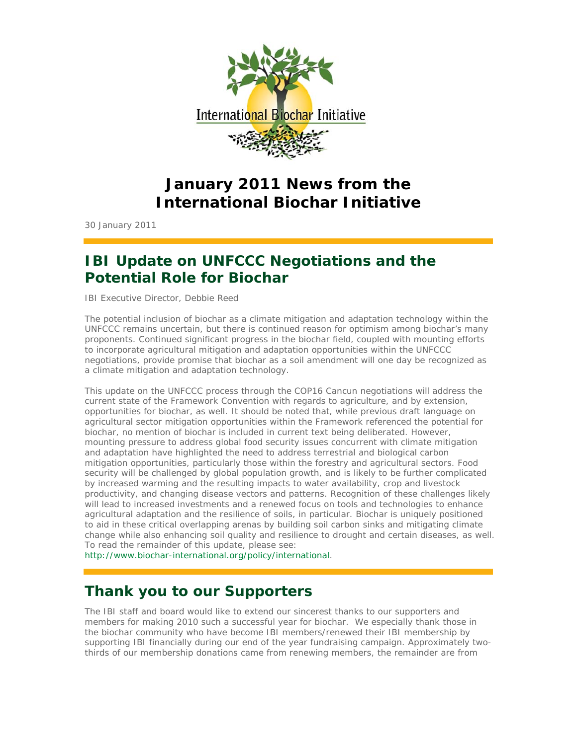

# **January 2011 News from the International Biochar Initiative**

30 January 2011

# **IBI Update on UNFCCC Negotiations and the Potential Role for Biochar**

IBI Executive Director, Debbie Reed

The potential inclusion of biochar as a climate mitigation and adaptation technology within the UNFCCC remains uncertain, but there is continued reason for optimism among biochar's many proponents. Continued significant progress in the biochar field, coupled with mounting efforts to incorporate agricultural mitigation and adaptation opportunities within the UNFCCC negotiations, provide promise that biochar as a soil amendment will one day be recognized as a climate mitigation and adaptation technology.

This update on the UNFCCC process through the COP16 Cancun negotiations will address the current state of the Framework Convention with regards to agriculture, and by extension, opportunities for biochar, as well. It should be noted that, while previous draft language on agricultural sector mitigation opportunities within the Framework referenced the potential for biochar, no mention of biochar is included in current text being deliberated. However, mounting pressure to address global food security issues concurrent with climate mitigation and adaptation have highlighted the need to address terrestrial and biological carbon mitigation opportunities, particularly those within the forestry and agricultural sectors. Food security will be challenged by global population growth, and is likely to be further complicated by increased warming and the resulting impacts to water availability, crop and livestock productivity, and changing disease vectors and patterns. Recognition of these challenges likely will lead to increased investments and a renewed focus on tools and technologies to enhance agricultural adaptation and the resilience of soils, in particular. Biochar is uniquely positioned to aid in these critical overlapping arenas by building soil carbon sinks and mitigating climate change while also enhancing soil quality and resilience to drought and certain diseases, as well. To read the remainder of this update, please see:

http://www.biochar-international.org/policy/international.

# **Thank you to our Supporters**

The IBI staff and board would like to extend our sincerest thanks to our supporters and members for making 2010 such a successful year for biochar. We especially thank those in the biochar community who have become IBI members/renewed their IBI membership by supporting IBI financially during our end of the year fundraising campaign. Approximately twothirds of our membership donations came from renewing members, the remainder are from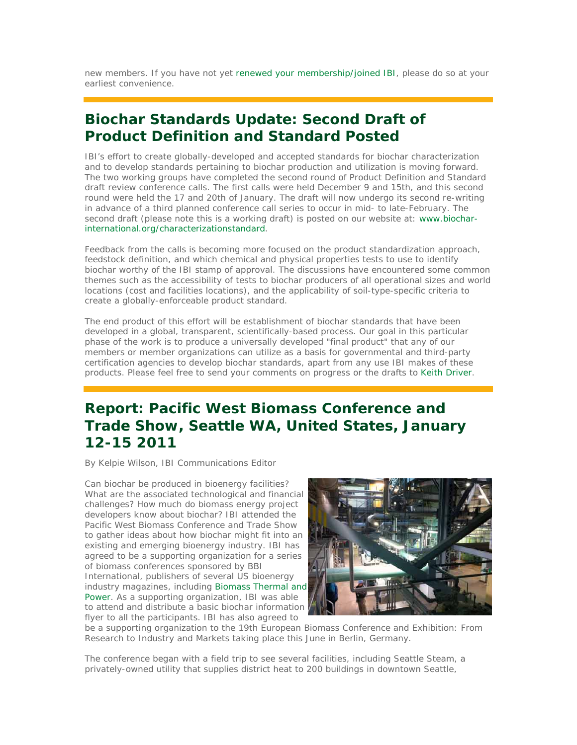new members. If you have not yet renewed your membership/joined IBI, please do so at your earliest convenience.

## **Biochar Standards Update: Second Draft of Product Definition and Standard Posted**

IBI's effort to create globally-developed and accepted standards for biochar characterization and to develop standards pertaining to biochar production and utilization is moving forward. The two working groups have completed the second round of Product Definition and Standard draft review conference calls. The first calls were held December 9 and 15th, and this second round were held the 17 and 20th of January. The draft will now undergo its second re-writing in advance of a third planned conference call series to occur in mid- to late-February. The second draft (please note this is a working draft) is posted on our website at: www.biocharinternational.org/characterizationstandard.

Feedback from the calls is becoming more focused on the product standardization approach, feedstock definition, and which chemical and physical properties tests to use to identify biochar worthy of the IBI stamp of approval. The discussions have encountered some common themes such as the accessibility of tests to biochar producers of all operational sizes and world locations (cost and facilities locations), and the applicability of soil-type-specific criteria to create a globally-enforceable product standard.

The end product of this effort will be establishment of biochar standards that have been developed in a global, transparent, scientifically-based process. Our goal in this particular phase of the work is to produce a universally developed "final product" that any of our members or member organizations can utilize as a basis for governmental and third-party certification agencies to develop biochar standards, apart from any use IBI makes of these products. Please feel free to send your comments on progress or the drafts to Keith Driver.

# **Report: Pacific West Biomass Conference and Trade Show, Seattle WA, United States, January 12-15 2011**

*By Kelpie Wilson, IBI Communications Editor*

Can biochar be produced in bioenergy facilities? What are the associated technological and financial challenges? How much do biomass energy project developers know about biochar? IBI attended the Pacific West Biomass Conference and Trade Show to gather ideas about how biochar might fit into an existing and emerging bioenergy industry. IBI has agreed to be a supporting organization for a series of biomass conferences sponsored by BBI International, publishers of several US bioenergy industry magazines, including Biomass Thermal and Power. As a supporting organization, IBI was able to attend and distribute a basic biochar information flyer to all the participants. IBI has also agreed to



be a supporting organization to the 19th European Biomass Conference and Exhibition: From Research to Industry and Markets taking place this June in Berlin, Germany.

The conference began with a field trip to see several facilities, including Seattle Steam, a privately-owned utility that supplies district heat to 200 buildings in downtown Seattle,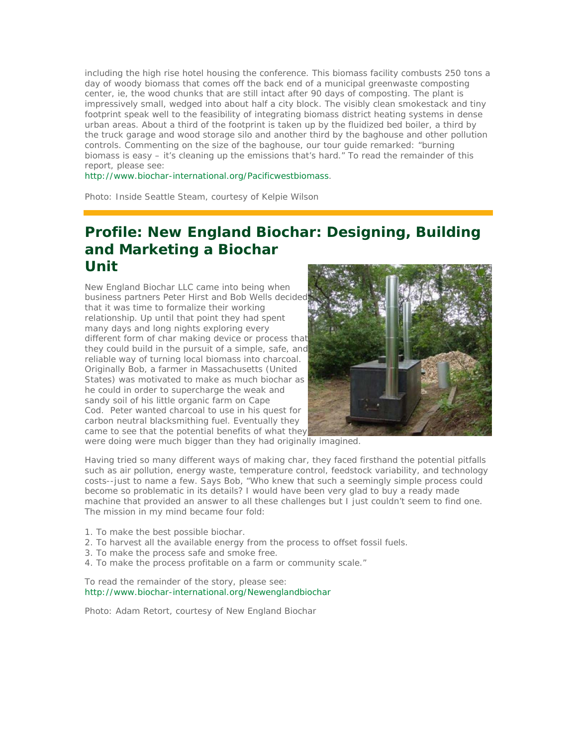including the high rise hotel housing the conference. This biomass facility combusts 250 tons a day of woody biomass that comes off the back end of a municipal greenwaste composting center, ie, the wood chunks that are still intact after 90 days of composting. The plant is impressively small, wedged into about half a city block. The visibly clean smokestack and tiny footprint speak well to the feasibility of integrating biomass district heating systems in dense urban areas. About a third of the footprint is taken up by the fluidized bed boiler, a third by the truck garage and wood storage silo and another third by the baghouse and other pollution controls. Commenting on the size of the baghouse, our tour guide remarked: "burning biomass is easy – it's cleaning up the emissions that's hard." To read the remainder of this report, please see:

http://www.biochar-international.org/Pacificwestbiomass.

*Photo: Inside Seattle Steam, courtesy of Kelpie Wilson*

## **Profile: New England Biochar: Designing, Building and Marketing a Biochar Unit**

New England Biochar LLC came into being when business partners Peter Hirst and Bob Wells decided that it was time to formalize their working relationship. Up until that point they had spent many days and long nights exploring every different form of char making device or process that they could build in the pursuit of a simple, safe, and reliable way of turning local biomass into charcoal. Originally Bob, a farmer in Massachusetts (United States) was motivated to make as much biochar as he could in order to supercharge the weak and sandy soil of his little organic farm on Cape Cod. Peter wanted charcoal to use in his quest for carbon neutral blacksmithing fuel. Eventually they came to see that the potential benefits of what they



were doing were much bigger than they had originally imagined.

Having tried so many different ways of making char, they faced firsthand the potential pitfalls such as air pollution, energy waste, temperature control, feedstock variability, and technology costs--just to name a few. Says Bob, "Who knew that such a seemingly simple process could become so problematic in its details? I would have been very glad to buy a ready made machine that provided an answer to all these challenges but I just couldn't seem to find one. The mission in my mind became four fold:

- 1. To make the best possible biochar.
- 2. To harvest all the available energy from the process to offset fossil fuels.
- 3. To make the process safe and smoke free.
- 4. To make the process profitable on a farm or community scale."

To read the remainder of the story, please see: http://www.biochar-international.org/Newenglandbiochar

*Photo: Adam Retort, courtesy of New England Biochar*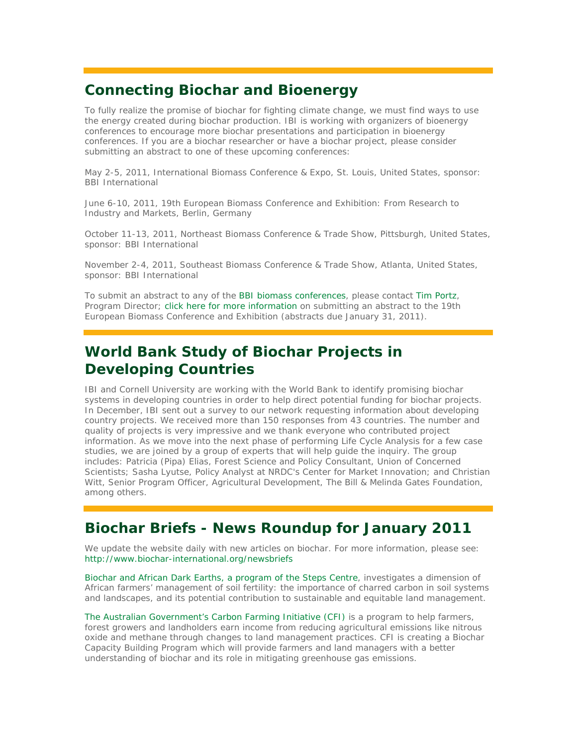## **Connecting Biochar and Bioenergy**

To fully realize the promise of biochar for fighting climate change, we must find ways to use the energy created during biochar production. IBI is working with organizers of bioenergy conferences to encourage more biochar presentations and participation in bioenergy conferences. If you are a biochar researcher or have a biochar project, please consider submitting an abstract to one of these upcoming conferences:

May 2-5, 2011, International Biomass Conference & Expo, St. Louis, United States, sponsor: BBI International

June 6-10, 2011, 19th European Biomass Conference and Exhibition: From Research to Industry and Markets, Berlin, Germany

October 11-13, 2011, Northeast Biomass Conference & Trade Show, Pittsburgh, United States, sponsor: BBI International

November 2-4, 2011, Southeast Biomass Conference & Trade Show, Atlanta, United States, sponsor: BBI International

To submit an abstract to any of the BBI biomass conferences, please contact Tim Portz, Program Director; click here for more information on submitting an abstract to the 19th European Biomass Conference and Exhibition (abstracts due January 31, 2011).

# **World Bank Study of Biochar Projects in Developing Countries**

IBI and Cornell University are working with the World Bank to identify promising biochar systems in developing countries in order to help direct potential funding for biochar projects. In December, IBI sent out a survey to our network requesting information about developing country projects. We received more than 150 responses from 43 countries. The number and quality of projects is very impressive and we thank everyone who contributed project information. As we move into the next phase of performing Life Cycle Analysis for a few case studies, we are joined by a group of experts that will help guide the inquiry. The group includes: Patricia (Pipa) Elias, Forest Science and Policy Consultant, Union of Concerned Scientists; Sasha Lyutse, Policy Analyst at NRDC's Center for Market Innovation; and Christian Witt, Senior Program Officer, Agricultural Development, The Bill & Melinda Gates Foundation, among others.

## **Biochar Briefs - News Roundup for January 2011**

We update the website daily with new articles on biochar. For more information, please see: http://www.biochar-international.org/newsbriefs

Biochar and African Dark Earths, a program of the Steps Centre, investigates a dimension of African farmers' management of soil fertility: the importance of charred carbon in soil systems and landscapes, and its potential contribution to sustainable and equitable land management.

The Australian Government's Carbon Farming Initiative (CFI) is a program to help farmers, forest growers and landholders earn income from reducing agricultural emissions like nitrous oxide and methane through changes to land management practices. CFI is creating a Biochar Capacity Building Program which will provide farmers and land managers with a better understanding of biochar and its role in mitigating greenhouse gas emissions.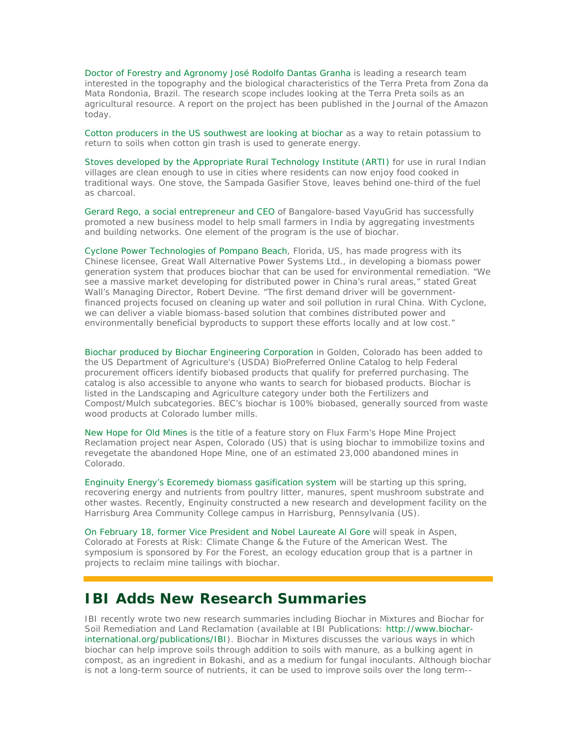Doctor of Forestry and Agronomy José Rodolfo Dantas Granha is leading a research team interested in the topography and the biological characteristics of the Terra Preta from Zona da Mata Rondonia, Brazil. The research scope includes looking at the Terra Preta soils as an agricultural resource. A report on the project has been published in the Journal of the Amazon today.

Cotton producers in the US southwest are looking at biochar as a way to retain potassium to return to soils when cotton gin trash is used to generate energy.

Stoves developed by the Appropriate Rural Technology Institute (ARTI) for use in rural Indian villages are clean enough to use in cities where residents can now enjoy food cooked in traditional ways. One stove, the Sampada Gasifier Stove, leaves behind one-third of the fuel as charcoal.

Gerard Rego, a social entrepreneur and CEO of Bangalore-based VayuGrid has successfully promoted a new business model to help small farmers in India by aggregating investments and building networks. One element of the program is the use of biochar.

Cyclone Power Technologies of Pompano Beach, Florida, US, has made progress with its Chinese licensee, Great Wall Alternative Power Systems Ltd., in developing a biomass power generation system that produces biochar that can be used for environmental remediation. "We see a massive market developing for distributed power in China's rural areas," stated Great Wall's Managing Director, Robert Devine. "The first demand driver will be governmentfinanced projects focused on cleaning up water and soil pollution in rural China. With Cyclone, we can deliver a viable biomass-based solution that combines distributed power and environmentally beneficial byproducts to support these efforts locally and at low cost."

Biochar produced by Biochar Engineering Corporation in Golden, Colorado has been added to the US Department of Agriculture's (USDA) BioPreferred Online Catalog to help Federal procurement officers identify biobased products that qualify for preferred purchasing. The catalog is also accessible to anyone who wants to search for biobased products. Biochar is listed in the Landscaping and Agriculture category under both the Fertilizers and Compost/Mulch subcategories. BEC's biochar is 100% biobased, generally sourced from waste wood products at Colorado lumber mills.

New Hope for Old Mines is the title of a feature story on Flux Farm's Hope Mine Project Reclamation project near Aspen, Colorado (US) that is using biochar to immobilize toxins and revegetate the abandoned Hope Mine, one of an estimated 23,000 abandoned mines in Colorado.

Enginuity Energy's Ecoremedy biomass gasification system will be starting up this spring, recovering energy and nutrients from poultry litter, manures, spent mushroom substrate and other wastes. Recently, Enginuity constructed a new research and development facility on the Harrisburg Area Community College campus in Harrisburg, Pennsylvania (US).

On February 18, former Vice President and Nobel Laureate Al Gore will speak in Aspen, Colorado at Forests at Risk: Climate Change & the Future of the American West. The symposium is sponsored by For the Forest, an ecology education group that is a partner in projects to reclaim mine tailings with biochar.

#### **IBI Adds New Research Summaries**

IBI recently wrote two new research summaries including Biochar in Mixtures and Biochar for Soil Remediation and Land Reclamation (available at IBI Publications: http://www.biocharinternational.org/publications/IBI). *Biochar in Mixtures* discusses the various ways in which biochar can help improve soils through addition to soils with manure, as a bulking agent in compost, as an ingredient in Bokashi, and as a medium for fungal inoculants. Although biochar is not a long-term source of nutrients, it can be used to improve soils over the long term--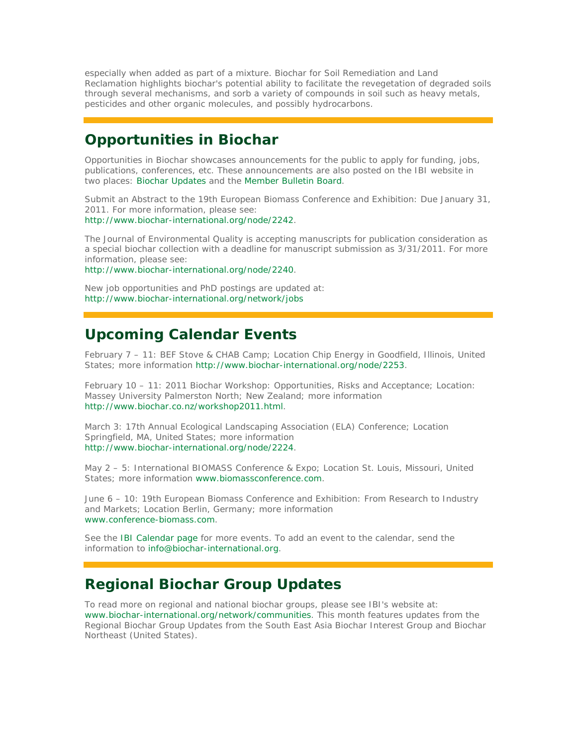especially when added as part of a mixture. *Biochar for Soil Remediation and Land Reclamation* highlights biochar's potential ability to facilitate the revegetation of degraded soils through several mechanisms, and sorb a variety of compounds in soil such as heavy metals, pesticides and other organic molecules, and possibly hydrocarbons.

### **Opportunities in Biochar**

*Opportunities in Biochar* showcases announcements for the public to apply for funding, jobs, publications, conferences, etc. These announcements are also posted on the IBI website in two places: Biochar Updates and the Member Bulletin Board.

Submit an Abstract to the 19th European Biomass Conference and Exhibition: Due January 31, 2011. For more information, please see: http://www.biochar-international.org/node/2242.

The Journal of Environmental Quality is accepting manuscripts for publication consideration as a special biochar collection with a deadline for manuscript submission as 3/31/2011. For more information, please see:

http://www.biochar-international.org/node/2240.

New job opportunities and PhD postings are updated at: http://www.biochar-international.org/network/jobs

## **Upcoming Calendar Events**

February 7 – 11: BEF Stove & CHAB Camp; Location Chip Energy in Goodfield, Illinois, United States; more information http://www.biochar-international.org/node/2253.

February 10 - 11: 2011 Biochar Workshop: Opportunities, Risks and Acceptance; Location: Massey University Palmerston North; New Zealand; more information http://www.biochar.co.nz/workshop2011.html.

March 3: 17th Annual Ecological Landscaping Association (ELA) Conference; Location Springfield, MA, United States; more information http://www.biochar-international.org/node/2224.

May 2 – 5: International BIOMASS Conference & Expo; Location St. Louis, Missouri, United States: more information www.biomassconference.com.

June 6 – 10: 19th European Biomass Conference and Exhibition: From Research to Industry and Markets; Location Berlin, Germany; more information www.conference-biomass.com.

See the IBI Calendar page for more events. To add an event to the calendar, send the information to info@biochar-international.org.

## **Regional Biochar Group Updates**

To read more on regional and national biochar groups, please see IBI's website at: www.biochar-international.org/network/communities. This month features updates from the Regional Biochar Group Updates from the South East Asia Biochar Interest Group and Biochar Northeast (United States).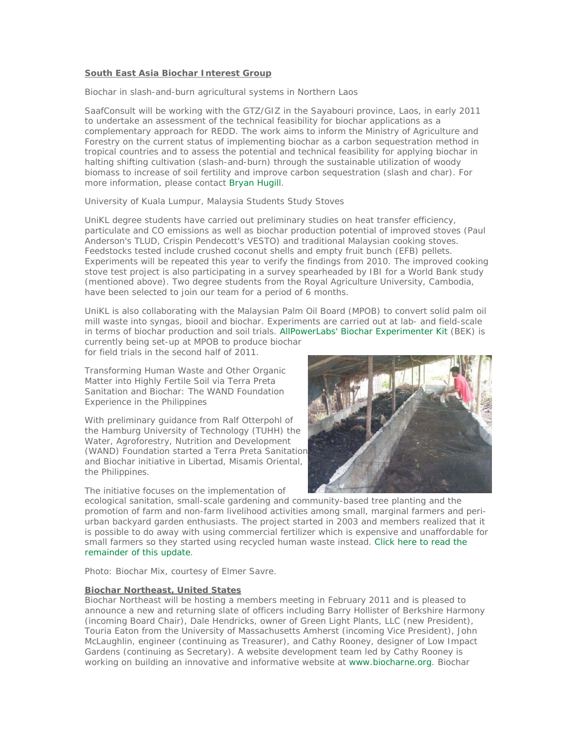#### **South East Asia Biochar Interest Group**

#### *Biochar in slash-and-burn agricultural systems in Northern Laos*

SaafConsult will be working with the GTZ/GIZ in the Sayabouri province, Laos, in early 2011 to undertake an assessment of the technical feasibility for biochar applications as a complementary approach for REDD. The work aims to inform the Ministry of Agriculture and Forestry on the current status of implementing biochar as a carbon sequestration method in tropical countries and to assess the potential and technical feasibility for applying biochar in halting shifting cultivation (slash-and-burn) through the sustainable utilization of woody biomass to increase of soil fertility and improve carbon sequestration (slash and char). For more information, please contact Bryan Hugill.

#### *University of Kuala Lumpur, Malaysia Students Study Stoves*

UniKL degree students have carried out preliminary studies on heat transfer efficiency, particulate and CO emissions as well as biochar production potential of improved stoves (Paul Anderson's TLUD, Crispin Pendecott's VESTO) and traditional Malaysian cooking stoves. Feedstocks tested include crushed coconut shells and empty fruit bunch (EFB) pellets. Experiments will be repeated this year to verify the findings from 2010. The improved cooking stove test project is also participating in a survey spearheaded by IBI for a World Bank study (mentioned above). Two degree students from the Royal Agriculture University, Cambodia, have been selected to join our team for a period of 6 months.

UniKL is also collaborating with the Malaysian Palm Oil Board (MPOB) to convert solid palm oil mill waste into syngas, biooil and biochar. Experiments are carried out at lab- and field-scale in terms of biochar production and soil trials. AllPowerLabs' Biochar Experimenter Kit (BEK) is currently being set-up at MPOB to produce biochar

for field trials in the second half of 2011.

*Transforming Human Waste and Other Organic Matter into Highly Fertile Soil via Terra Preta Sanitation and Biochar: The WAND Foundation Experience in the Philippines*

With preliminary guidance from Ralf Otterpohl of the Hamburg University of Technology (TUHH) the Water, Agroforestry, Nutrition and Development (WAND) Foundation started a Terra Preta Sanitation and Biochar initiative in Libertad, Misamis Oriental, the Philippines.

The initiative focuses on the implementation of



ecological sanitation, small-scale gardening and community-based tree planting and the promotion of farm and non-farm livelihood activities among small, marginal farmers and periurban backyard garden enthusiasts. The project started in 2003 and members realized that it is possible to do away with using commercial fertilizer which is expensive and unaffordable for small farmers so they started using recycled human waste instead. Click here to read the remainder of this update.

#### *Photo: Biochar Mix, courtesy of Elmer Savre*.

#### **Biochar Northeast, United States**

Biochar Northeast will be hosting a members meeting in February 2011 and is pleased to announce a new and returning slate of officers including Barry Hollister of Berkshire Harmony (incoming Board Chair), Dale Hendricks, owner of Green Light Plants, LLC (new President), Touria Eaton from the University of Massachusetts Amherst (incoming Vice President), John McLaughlin, engineer (continuing as Treasurer), and Cathy Rooney, designer of Low Impact Gardens (continuing as Secretary). A website development team led by Cathy Rooney is working on building an innovative and informative website at www.biocharne.org. Biochar